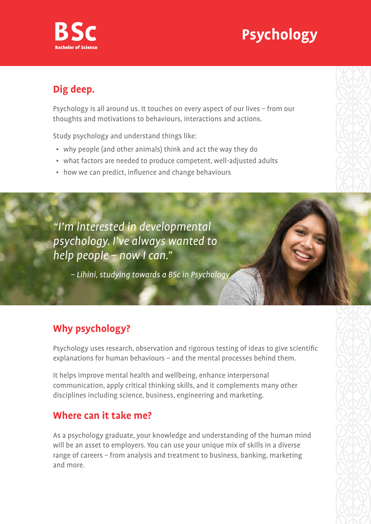# **Psychology**



## **Dig deep.**

Psychology is all around us. It touches on every aspect of our lives – from our thoughts and motivations to behaviours, interactions and actions.

Study psychology and understand things like:

- why people (and other animals) think and act the way they do
- what factors are needed to produce competent, well-adjusted adults
- how we can predict, influence and change behaviours

"I'm interested in developmental psychology. I've always wanted to help people – now I can."

– Lihini, studying towards a BSc in Psychology

## **Why psychology?**

Psychology uses research, observation and rigorous testing of ideas to give scientific explanations for human behaviours – and the mental processes behind them.

It helps improve mental health and wellbeing, enhance interpersonal communication, apply critical thinking skills, and it complements many other disciplines including science, business, engineering and marketing.

### **Where can it take me?**

As a psychology graduate, your knowledge and understanding of the human mind will be an asset to employers. You can use your unique mix of skills in a diverse range of careers – from analysis and treatment to business, banking, marketing and more.